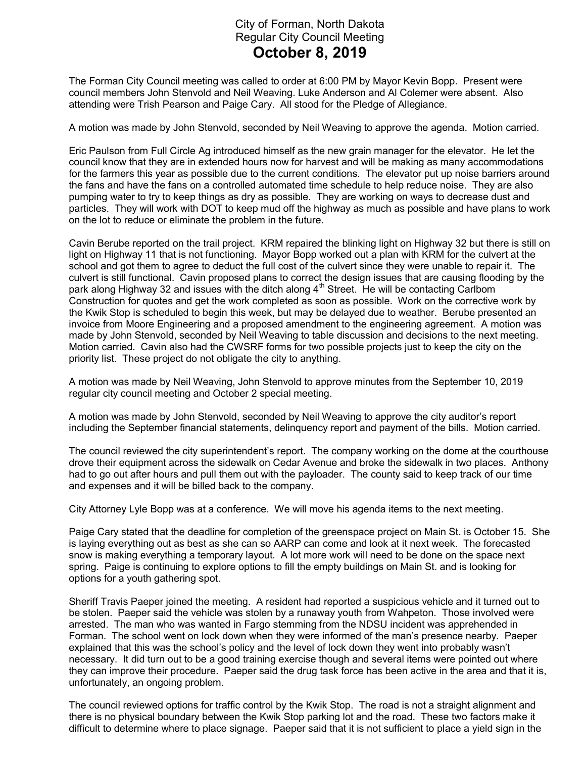## City of Forman, North Dakota Regular City Council Meeting October 8, 2019

The Forman City Council meeting was called to order at 6:00 PM by Mayor Kevin Bopp. Present were council members John Stenvold and Neil Weaving. Luke Anderson and Al Colemer were absent. Also attending were Trish Pearson and Paige Cary. All stood for the Pledge of Allegiance.

A motion was made by John Stenvold, seconded by Neil Weaving to approve the agenda. Motion carried.

Eric Paulson from Full Circle Ag introduced himself as the new grain manager for the elevator. He let the council know that they are in extended hours now for harvest and will be making as many accommodations for the farmers this year as possible due to the current conditions. The elevator put up noise barriers around the fans and have the fans on a controlled automated time schedule to help reduce noise. They are also pumping water to try to keep things as dry as possible. They are working on ways to decrease dust and particles. They will work with DOT to keep mud off the highway as much as possible and have plans to work on the lot to reduce or eliminate the problem in the future.

Cavin Berube reported on the trail project. KRM repaired the blinking light on Highway 32 but there is still on light on Highway 11 that is not functioning. Mayor Bopp worked out a plan with KRM for the culvert at the school and got them to agree to deduct the full cost of the culvert since they were unable to repair it. The culvert is still functional. Cavin proposed plans to correct the design issues that are causing flooding by the park along Highway 32 and issues with the ditch along 4<sup>th</sup> Street. He will be contacting Carlbom Construction for quotes and get the work completed as soon as possible. Work on the corrective work by the Kwik Stop is scheduled to begin this week, but may be delayed due to weather. Berube presented an invoice from Moore Engineering and a proposed amendment to the engineering agreement. A motion was made by John Stenvold, seconded by Neil Weaving to table discussion and decisions to the next meeting. Motion carried. Cavin also had the CWSRF forms for two possible projects just to keep the city on the priority list. These project do not obligate the city to anything.

A motion was made by Neil Weaving, John Stenvold to approve minutes from the September 10, 2019 regular city council meeting and October 2 special meeting.

A motion was made by John Stenvold, seconded by Neil Weaving to approve the city auditor's report including the September financial statements, delinquency report and payment of the bills. Motion carried.

The council reviewed the city superintendent's report. The company working on the dome at the courthouse drove their equipment across the sidewalk on Cedar Avenue and broke the sidewalk in two places. Anthony had to go out after hours and pull them out with the payloader. The county said to keep track of our time and expenses and it will be billed back to the company.

City Attorney Lyle Bopp was at a conference. We will move his agenda items to the next meeting.

Paige Cary stated that the deadline for completion of the greenspace project on Main St. is October 15. She is laying everything out as best as she can so AARP can come and look at it next week. The forecasted snow is making everything a temporary layout. A lot more work will need to be done on the space next spring. Paige is continuing to explore options to fill the empty buildings on Main St. and is looking for options for a youth gathering spot.

Sheriff Travis Paeper joined the meeting. A resident had reported a suspicious vehicle and it turned out to be stolen. Paeper said the vehicle was stolen by a runaway youth from Wahpeton. Those involved were arrested. The man who was wanted in Fargo stemming from the NDSU incident was apprehended in Forman. The school went on lock down when they were informed of the man's presence nearby. Paeper explained that this was the school's policy and the level of lock down they went into probably wasn't necessary. It did turn out to be a good training exercise though and several items were pointed out where they can improve their procedure. Paeper said the drug task force has been active in the area and that it is, unfortunately, an ongoing problem.

The council reviewed options for traffic control by the Kwik Stop. The road is not a straight alignment and there is no physical boundary between the Kwik Stop parking lot and the road. These two factors make it difficult to determine where to place signage. Paeper said that it is not sufficient to place a yield sign in the